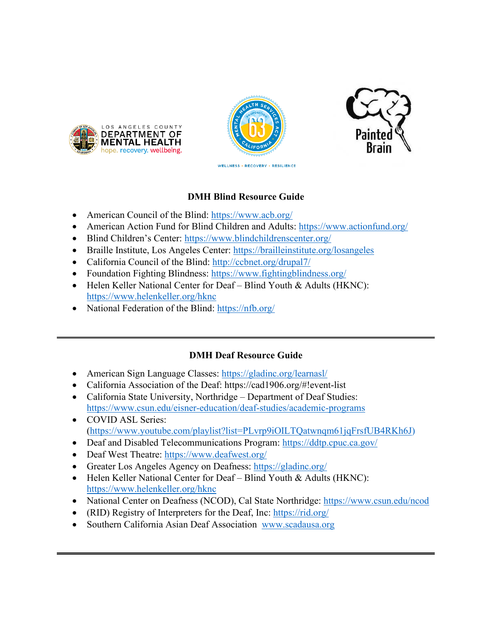





# **DMH Blind Resource Guide**

- American Council of the Blind: <https://www.acb.org/>
- American Action Fund for Blind Children and Adults: <https://www.actionfund.org/>
- Blind Children's Center: <https://www.blindchildrenscenter.org/>
- Braille Institute, Los Angeles Center: <https://brailleinstitute.org/losangeles>
- California Council of the Blind: <http://ccbnet.org/drupal7/>
- Foundation Fighting Blindness: <https://www.fightingblindness.org/>
- Helen Keller National Center for Deaf Blind Youth & Adults (HKNC): <https://www.helenkeller.org/hknc>
- National Federation of the Blind:<https://nfb.org/>

# **DMH Deaf Resource Guide**

- American Sign Language Classes:<https://gladinc.org/learnasl/>
- California Association of the Deaf: https://cad1906.org/#!event-list
- California State University, Northridge Department of Deaf Studies: <https://www.csun.edu/eisner-education/deaf-studies/academic-programs>
- COVID ASL Series: [\(https://www.youtube.com/playlist?list=PLvrp9iOILTQatwnqm61jqFrsfUB4RKh6J\)](https://www.youtube.com/playlist?list=PLvrp9iOILTQatwnqm61jqFrsfUB4RKh6J)
- Deaf and Disabled Telecommunications Program:<https://ddtp.cpuc.ca.gov/>
- Deaf West Theatre:<https://www.deafwest.org/>
- Greater Los Angeles Agency on Deafness:<https://gladinc.org/>
- Helen Keller National Center for Deaf Blind Youth & Adults (HKNC): <https://www.helenkeller.org/hknc>
- National Center on Deafness (NCOD), Cal State Northridge:<https://www.csun.edu/ncod>
- (RID) Registry of Interpreters for the Deaf, Inc:<https://rid.org/>
- Southern California Asian Deaf Association [www.scadausa.org](https://linkprotect.cudasvc.com/url?a=http%3a%2f%2fwww.scadausa.org&c=E,1,iTthI1XaHaaQEaYXiS44C0r7seEUz3pssnnKx5GKT-nu8wIlvW_BfluS8cbHXvCnrfKV-YmwRG3xtSCdJL3UwE0OAviUtR03iWqu0hM2b61qhaEDag,,&typo=1)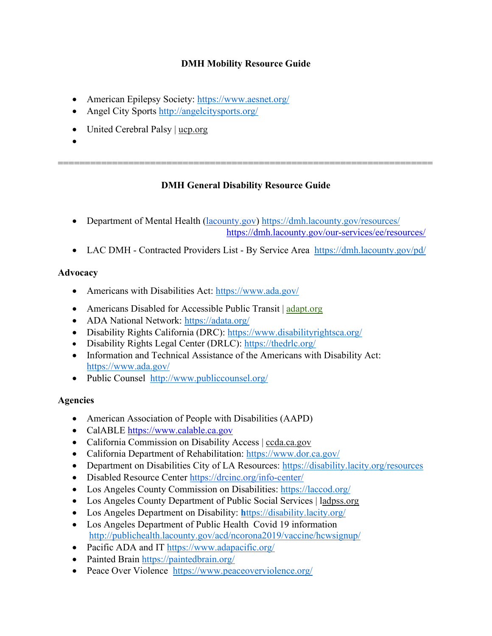# **DMH Mobility Resource Guide**

- American Epilepsy Society:<https://www.aesnet.org/>
- Angel City Sports <http://angelcitysports.org/>
- United Cerebral Palsy | [ucp.org](http://www.ucp.org/)
- •

# **DMH General Disability Resource Guide**

=====================================================================

- Department of Mental Health [\(lacounty.gov\)](http://lacounty.gov/) <https://dmh.lacounty.gov/resources/> [https://dmh.lacounty.gov/our-services/ee/resources/](https://www.google.com/url?q=https%3A%2F%2Fdmh.lacounty.gov%2Four-services%2Fee%2Fresources%2F&sa=D&sntz=1&usg=AFQjCNEJ-uweCWVVCc8xwnOuh00u3Y9k3Q)
- LAC DMH Contracted Providers List By Service Area <https://dmh.lacounty.gov/pd/>

## **Advocacy**

- Americans with Disabilities Act:<https://www.ada.gov/>
- Americans Disabled for Accessible Public Transit | [adapt.org](http://www.adapt.org/)
- ADA National Network:<https://adata.org/>
- Disability Rights California (DRC):<https://www.disabilityrightsca.org/>
- Disability Rights Legal Center (DRLC):<https://thedrlc.org/>
- Information and Technical Assistance of the Americans with Disability Act: <https://www.ada.gov/>
- Public Counsel <http://www.publiccounsel.org/>

# **Agencies**

- American Association of People with Disabilities (AAPD)
- CalABLE [https://www.calable.ca.gov](https://www.google.com/url?q=https%3A%2F%2Fwww.calable.ca.gov%2F&sa=D&sntz=1&usg=AFQjCNEFYmDQ6Bscw6E-799r1vJC9cenqQ)
- California Commission on Disability Access | [ccda.ca.gov](http://www.ccda.ca.gov/)
- California Department of Rehabilitation:<https://www.dor.ca.gov/>
- Department on Disabilities City of LA Resources:<https://disability.lacity.org/resources>
- Disabled Resource Center <https://drcinc.org/info-center/>
- Los Angeles County Commission on Disabilities:<https://laccod.org/>
- Los Angeles County Department of Public Social Services | [ladpss.org](http://www.ladpss.org/)
- Los Angeles Department on Disability: **h**[ttps://disability.lacity.org/](https://disability.lacity.org/)
- Los Angeles Department of Public Health Covid 19 information <http://publichealth.lacounty.gov/acd/ncorona2019/vaccine/hcwsignup/>
- Pacific ADA and IT<https://www.adapacific.org/>
- Painted Brain<https://paintedbrain.org/>
- Peace Over Violence <https://www.peaceoverviolence.org/>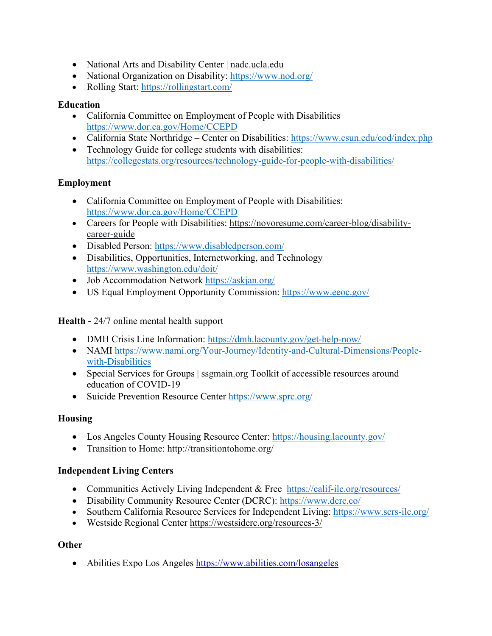- National Arts and Disability Center | [nadc.ucla.edu](http://semel.ucla.edu/nadc)
- National Organization on Disability:<https://www.nod.org/>
- Rolling Start:<https://rollingstart.com/>

### **Education**

- California Committee on Employment of People with Disabilities <https://www.dor.ca.gov/Home/CCEPD>
- California State Northridge Center on Disabilities:<https://www.csun.edu/cod/index.php>
- Technology Guide for college students with disabilities: <https://collegestats.org/resources/technology-guide-for-people-with-disabilities/>

## **Employment**

- California Committee on Employment of People with Disabilities: <https://www.dor.ca.gov/Home/CCEPD>
- Careers for People with Disabilities: [https://novoresume.com/career-blog/disability](https://novoresume.com/career-blog/disability-career-guide)[career-guide](https://novoresume.com/career-blog/disability-career-guide)
- Disabled Person:<https://www.disabledperson.com/>
- Disabilities, Opportunities, Internetworking, and Technology <https://www.washington.edu/doit/>
- Job Accommodation Network<https://askjan.org/>
- US Equal Employment Opportunity Commission:<https://www.eeoc.gov/>

**Health -** 24/7 online mental health support

- DMH Crisis Line Information:<https://dmh.lacounty.gov/get-help-now/>
- NAMI [https://www.nami.org/Your-Journey/Identity-and-Cultural-Dimensions/People](https://www.nami.org/Your-Journey/Identity-and-Cultural-Dimensions/People-with-Disabilities)[with-Disabilities](https://www.nami.org/Your-Journey/Identity-and-Cultural-Dimensions/People-with-Disabilities)
- Special Services for Groups | [ssgmain.org](http://www.ssgmain.org/) Toolkit of accessible resources around education of COVID-19
- Suicide Prevention Resource Center<https://www.sprc.org/>

### **Housing**

- Los Angeles County Housing Resource Center:<https://housing.lacounty.gov/>
- Transition to Home: http:/[/transitiontohome.org/](http://www.transitiontohome.org/)

# **Independent Living Centers**

- Communities Actively Living Independent & Free <https://calif-ilc.org/resources/>
- Disability Community Resource Center (DCRC):<https://www.dcrc.co/>
- Southern California Resource Services for Independent Living:<https://www.scrs-ilc.org/>
- Westside Regional Center <https://westsiderc.org/resources-3/>

### **Other**

• Abilities Expo Los Angeles [https://www.abilities.com/losangeles](https://www.google.com/url?q=https%3A%2F%2Fwww.abilities.com%2Flosangeles%2F&sa=D&sntz=1&usg=AFQjCNGS70t5_mwh3in6YSUW_JYanSPftQ)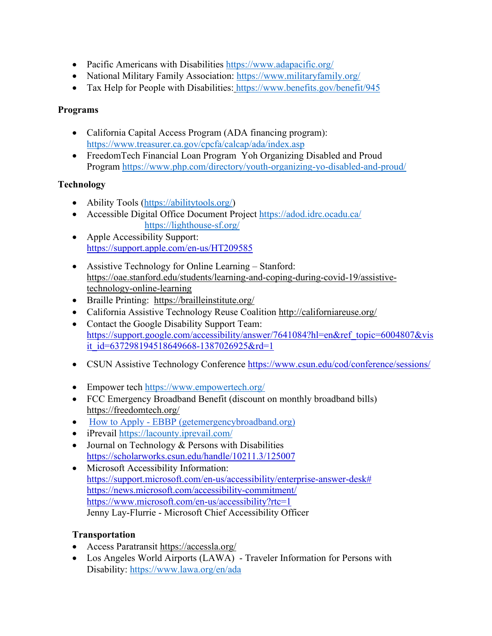- Pacific Americans with Disabilities<https://www.adapacific.org/>
- National Military Family Association:<https://www.militaryfamily.org/>
- Tax Help for People with Disabilities: <https://www.benefits.gov/benefit/945>

### **Programs**

- California Capital Access Program (ADA financing program): <https://www.treasurer.ca.gov/cpcfa/calcap/ada/index.asp>
- FreedomTech Financial Loan Program Yoh Organizing Disabled and Proud Program <https://www.php.com/directory/youth-organizing-yo-disabled-and-proud/>

# **Technology**

- Ability Tools [\(https://abilitytools.org/\)](https://abilitytools.org/)
- Accessible Digital Office Document Project<https://adod.idrc.ocadu.ca/> <https://lighthouse-sf.org/>
- Apple Accessibility Support: [https://support.apple.com/en-us/HT209585](https://www.google.com/url?q=https%3A%2F%2Fsupport.apple.com%2Fen-us%2FHT209585&sa=D&sntz=1&usg=AFQjCNH6ROzzjdCUOljhK9Ehc7r_tnIcmg)
- Assistive Technology for Online Learning Stanford: [https://oae.stanford.edu/students/learning-and-coping-during-covid-19/assistive](https://www.google.com/url?q=https%3A%2F%2Foae.stanford.edu%2Fstudents%2Flearning-and-coping-during-covid-19%2Fassistive-technology-online-learning&sa=D&sntz=1&usg=AFQjCNG3T5Oty_BUAHMiKObb94zEZm6_0g)[technology-online-learning](https://www.google.com/url?q=https%3A%2F%2Foae.stanford.edu%2Fstudents%2Flearning-and-coping-during-covid-19%2Fassistive-technology-online-learning&sa=D&sntz=1&usg=AFQjCNG3T5Oty_BUAHMiKObb94zEZm6_0g)
- Braille Printing: <https://brailleinstitute.org/>
- California Assistive Technology Reuse Coalition <http://californiareuse.org/>
- Contact the Google Disability Support Team: [https://support.google.com/accessibility/answer/7641084?hl=en&ref\\_topic=6004807&vis](https://support.google.com/accessibility/answer/7641084?hl=en&ref_topic=6004807&visit_id=637298194518649668-1387026925&rd=1) [it\\_id=637298194518649668-1387026925&rd=1](https://support.google.com/accessibility/answer/7641084?hl=en&ref_topic=6004807&visit_id=637298194518649668-1387026925&rd=1)
- CSUN Assistive Technology Conference [https://www.csun.edu/cod/conference/sessions/](https://www.google.com/url?q=https%3A%2F%2Fwww.csun.edu%2Fcod%2Fconference%2Fsessions%2F&sa=D&sntz=1&usg=AFQjCNHYM9ojUwuIOgAuU3DZgWBUlk-OnQ)
- Empower tech<https://www.empowertech.org/>
- FCC Emergency Broadband Benefit (discount on monthly broadband bills) <https://freedomtech.org/>
- How to Apply [EBBP \(getemergencybroadband.org\)](https://getemergencybroadband.org/how-to-apply/)
- iPrevail <https://lacounty.iprevail.com/>
- Journal on Technology & Persons with Disabilities [https://scholarworks.csun.edu/handle/10211.3/125007](https://www.google.com/url?q=https%3A%2F%2Fscholarworks.csun.edu%2Fhandle%2F10211.3%2F125007&sa=D&sntz=1&usg=AFQjCNHZGSxByyKcLYtm87kQ-kXj8iag6Q)
- Microsoft Accessibility Information: [https://support.microsoft.com/en-us/accessibility/enterprise-answer-desk#](https://www.google.com/url?q=https%3A%2F%2Fsupport.microsoft.com%2Fen-us%2Faccessibility%2Fenterprise-answer-desk%23&sa=D&sntz=1&usg=AFQjCNGc8P-mkkEIcNvohEVnmn1f6ZTnsg) [https://news.microsoft.com/accessibility-commitment/](https://www.google.com/url?q=https%3A%2F%2Fnews.microsoft.com%2Faccessibility-commitment%2F&sa=D&sntz=1&usg=AFQjCNEaPb_Q0Cir_P6t4fucwfKVKhlEGg) [https://www.microsoft.com/en-us/accessibility?rtc=1](https://www.google.com/url?q=https%3A%2F%2Fwww.microsoft.com%2Fen-us%2Faccessibility%3Frtc%3D1&sa=D&sntz=1&usg=AFQjCNG-vvlPHKcWsbcovjKisi6oCPvi6w) Jenny Lay-Flurrie - Microsoft Chief Accessibility Officer

### **Transportation**

- Access Paratransit<https://accessla.org/>
- Los Angeles World Airports (LAWA) Traveler Information for Persons with Disability: https://www.lawa.org/en/ada